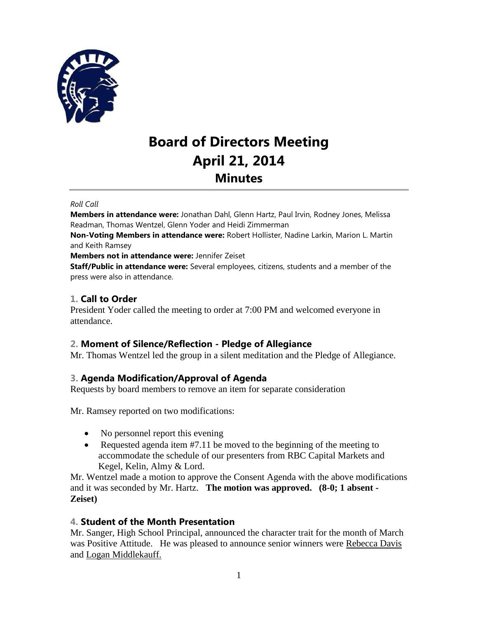

# **Board of Directors Meeting April 21, 2014 Minutes**

#### *Roll Call*

**Members in attendance were:** Jonathan Dahl, Glenn Hartz, Paul Irvin, Rodney Jones, Melissa Readman, Thomas Wentzel, Glenn Yoder and Heidi Zimmerman

**Non-Voting Members in attendance were:** Robert Hollister, Nadine Larkin, Marion L. Martin and Keith Ramsey

**Members not in attendance were:** Jennifer Zeiset

**Staff/Public in attendance were:** Several employees, citizens, students and a member of the press were also in attendance.

### **1. Call to Order**

President Yoder called the meeting to order at 7:00 PM and welcomed everyone in attendance.

### **2. Moment of Silence/Reflection - Pledge of Allegiance**

Mr. Thomas Wentzel led the group in a silent meditation and the Pledge of Allegiance.

### **3. Agenda Modification/Approval of Agenda**

Requests by board members to remove an item for separate consideration

Mr. Ramsey reported on two modifications:

- No personnel report this evening
- Requested agenda item  $#7.11$  be moved to the beginning of the meeting to accommodate the schedule of our presenters from RBC Capital Markets and Kegel, Kelin, Almy & Lord.

Mr. Wentzel made a motion to approve the Consent Agenda with the above modifications and it was seconded by Mr. Hartz. **The motion was approved. (8-0; 1 absent - Zeiset)**

### **4. Student of the Month Presentation**

Mr. Sanger, High School Principal, announced the character trait for the month of March was Positive Attitude. He was pleased to announce senior winners were Rebecca Davis and Logan Middlekauff.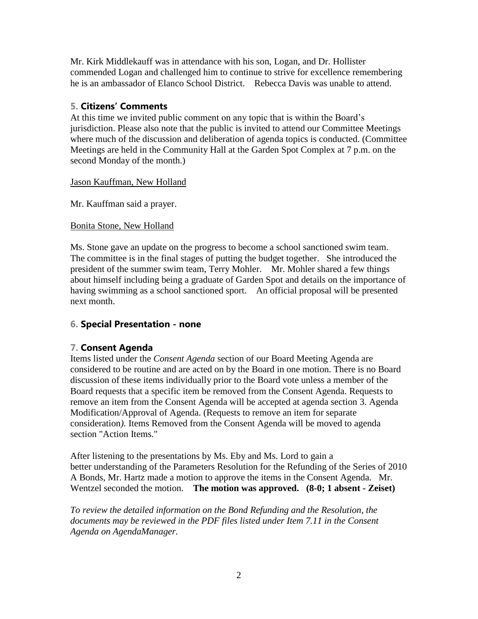Mr. Kirk Middlekauff was in attendance with his son, Logan, and Dr. Hollister commended Logan and challenged him to continue to strive for excellence remembering he is an ambassador of Elanco School District. Rebecca Davis was unable to attend.

### **5. Citizens' Comments**

At this time we invited public comment on any topic that is within the Board's jurisdiction. Please also note that the public is invited to attend our Committee Meetings where much of the discussion and deliberation of agenda topics is conducted. (Committee Meetings are held in the Community Hall at the Garden Spot Complex at 7 p.m. on the second Monday of the month.)

Jason Kauffman, New Holland

Mr. Kauffman said a prayer.

### Bonita Stone, New Holland

Ms. Stone gave an update on the progress to become a school sanctioned swim team. The committee is in the final stages of putting the budget together. She introduced the president of the summer swim team, Terry Mohler. Mr. Mohler shared a few things about himself including being a graduate of Garden Spot and details on the importance of having swimming as a school sanctioned sport. An official proposal will be presented next month.

# **6. Special Presentation - none**

# **7. Consent Agenda**

Items listed under the *Consent Agenda* section of our Board Meeting Agenda are considered to be routine and are acted on by the Board in one motion. There is no Board discussion of these items individually prior to the Board vote unless a member of the Board requests that a specific item be removed from the Consent Agenda. Requests to remove an item from the Consent Agenda will be accepted at agenda section 3. Agenda Modification/Approval of Agenda. (Requests to remove an item for separate consideration*).* Items Removed from the Consent Agenda will be moved to agenda section "Action Items."

After listening to the presentations by Ms. Eby and Ms. Lord to gain a better understanding of the Parameters Resolution for the Refunding of the Series of 2010 A Bonds, Mr. Hartz made a motion to approve the items in the Consent Agenda. Mr. Wentzel seconded the motion. **The motion was approved. (8-0; 1 absent - Zeiset)**

*To review the detailed information on the Bond Refunding and the Resolution, the documents may be reviewed in the PDF files listed under Item 7.11 in the Consent Agenda on AgendaManager.*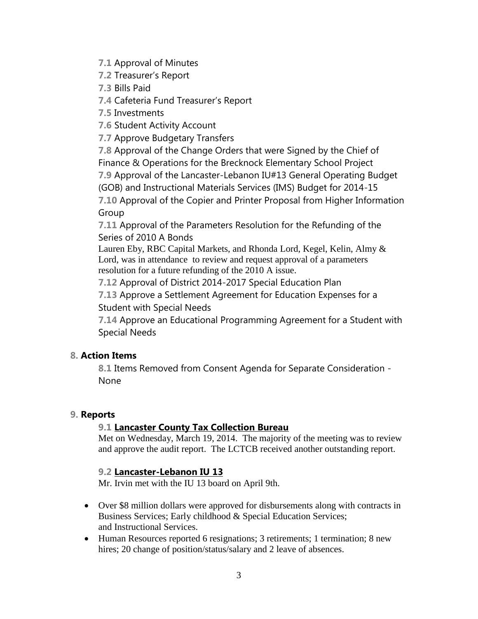**7.1** Approval of Minutes

**7.2** Treasurer's Report

**7.3** Bills Paid

**7.4** Cafeteria Fund Treasurer's Report

**7.5** Investments

**7.6** Student Activity Account

**7.7** Approve Budgetary Transfers

**7.8** Approval of the Change Orders that were Signed by the Chief of Finance & Operations for the Brecknock Elementary School Project

**7.9** Approval of the Lancaster-Lebanon IU#13 General Operating Budget (GOB) and Instructional Materials Services (IMS) Budget for 2014-15

**7.10** Approval of the Copier and Printer Proposal from Higher Information Group

**7.11** Approval of the Parameters Resolution for the Refunding of the Series of 2010 A Bonds

Lauren Eby, RBC Capital Markets, and Rhonda Lord, Kegel, Kelin, Almy & Lord, was in attendance to review and request approval of a parameters resolution for a future refunding of the 2010 A issue.

**7.12** Approval of District 2014-2017 Special Education Plan

**7.13** Approve a Settlement Agreement for Education Expenses for a Student with Special Needs

**7.14** Approve an Educational Programming Agreement for a Student with Special Needs

# **8. Action Items**

**8.1** Items Removed from Consent Agenda for Separate Consideration - None

# **9. Reports**

# **9.1 Lancaster County Tax Collection Bureau**

Met on Wednesday, March 19, 2014. The majority of the meeting was to review and approve the audit report. The LCTCB received another outstanding report.

# **9.2 Lancaster-Lebanon IU 13**

Mr. Irvin met with the IU 13 board on April 9th.

- Over \$8 million dollars were approved for disbursements along with contracts in Business Services; Early childhood & Special Education Services; and Instructional Services.
- Human Resources reported 6 resignations; 3 retirements; 1 termination; 8 new hires; 20 change of position/status/salary and 2 leave of absences.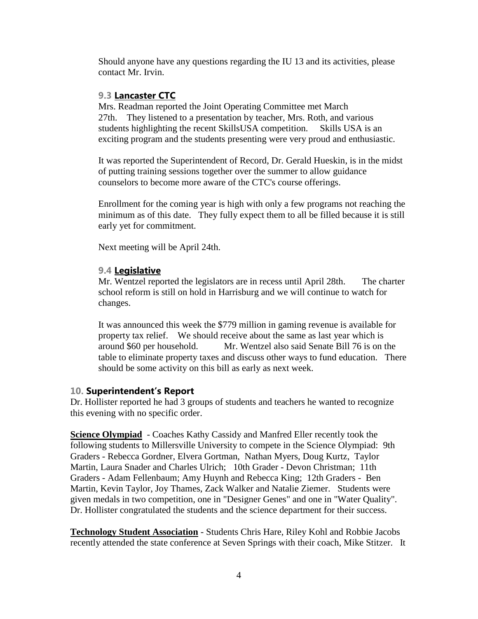Should anyone have any questions regarding the IU 13 and its activities, please contact Mr. Irvin.

### **9.3 Lancaster CTC**

Mrs. Readman reported the Joint Operating Committee met March 27th. They listened to a presentation by teacher, Mrs. Roth, and various students highlighting the recent SkillsUSA competition. Skills USA is an exciting program and the students presenting were very proud and enthusiastic.

It was reported the Superintendent of Record, Dr. Gerald Hueskin, is in the midst of putting training sessions together over the summer to allow guidance counselors to become more aware of the CTC's course offerings.

Enrollment for the coming year is high with only a few programs not reaching the minimum as of this date. They fully expect them to all be filled because it is still early yet for commitment.

Next meeting will be April 24th.

### **9.4 Legislative**

Mr. Wentzel reported the legislators are in recess until April 28th. The charter school reform is still on hold in Harrisburg and we will continue to watch for changes.

It was announced this week the \$779 million in gaming revenue is available for property tax relief. We should receive about the same as last year which is around \$60 per household. Mr. Wentzel also said Senate Bill 76 is on the table to eliminate property taxes and discuss other ways to fund education. There should be some activity on this bill as early as next week.

### **10. Superintendent's Report**

Dr. Hollister reported he had 3 groups of students and teachers he wanted to recognize this evening with no specific order.

**Science Olympiad** - Coaches Kathy Cassidy and Manfred Eller recently took the following students to Millersville University to compete in the Science Olympiad: 9th Graders - Rebecca Gordner, Elvera Gortman, Nathan Myers, Doug Kurtz, Taylor Martin, Laura Snader and Charles Ulrich; 10th Grader - Devon Christman; 11th Graders - Adam Fellenbaum; Amy Huynh and Rebecca King; 12th Graders - Ben Martin, Kevin Taylor, Joy Thames, Zack Walker and Natalie Ziemer. Students were given medals in two competition, one in "Designer Genes" and one in "Water Quality". Dr. Hollister congratulated the students and the science department for their success.

**Technology Student Association** - Students Chris Hare, Riley Kohl and Robbie Jacobs recently attended the state conference at Seven Springs with their coach, Mike Stitzer. It